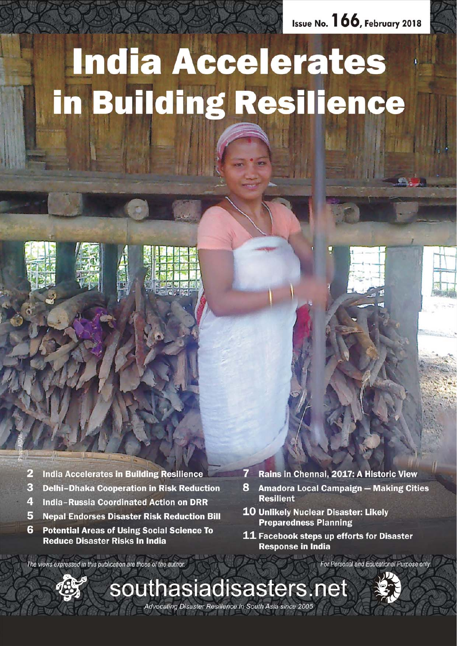Issue No. 166, February 2018

# **India Accelerates** in Building Resilience



- $\overline{\mathbf{3}}$ **Delhi-Dhaka Cooperation in Risk Reduction**
- $\overline{4}$ **India-Russia Coordinated Action on DRR**
- 5 **Nepal Endorses Disaster Risk Reduction Bill**
- 6 **Potential Areas of Using Social Science To Reduce Disaster Risks In India**
- 7 Rains in Chennai, 2017: A Historic View
- 8 **Amadora Local Campaign - Making Cities Resilient**
- 10 Unlikely Nuclear Disaster: Likely **Preparedness Planning**
- 11 Facebook steps up efforts for Disaster **Response in India**

The views expressed in this publication are those of the author.



For Personal and Educational Purpose only

Advocating Disaster Resilience in South Asia since 2005

southasiadisasters.net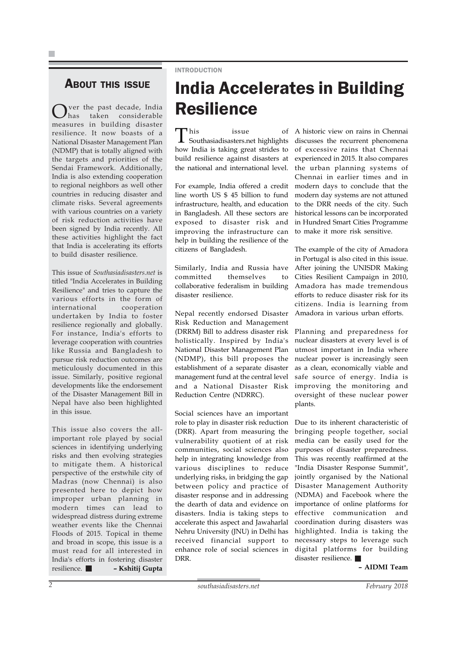### INTRODUCTION

### **ABOUT THIS ISSUE**

Ver the past decade, India<br>has taken considerable taken considerable measures in building disaster resilience. It now boasts of a National Disaster Management Plan (NDMP) that is totally aligned with the targets and priorities of the Sendai Framework. Additionally, India is also extending cooperation to regional neighbors as well other countries in reducing disaster and climate risks. Several agreements with various countries on a variety of risk reduction activities have been signed by India recently. All these activities highlight the fact that India is accelerating its efforts to build disaster resilience.

This issue of *Southasiadisasters.net* is titled "India Accelerates in Building Resilience" and tries to capture the various efforts in the form of international cooperation undertaken by India to foster resilience regionally and globally. For instance, India's efforts to leverage cooperation with countries like Russia and Bangladesh to pursue risk reduction outcomes are meticulously documented in this issue. Similarly, positive regional developments like the endorsement of the Disaster Management Bill in Nepal have also been highlighted in this issue.

This issue also covers the allimportant role played by social sciences in identifying underlying risks and then evolving strategies to mitigate them. A historical perspective of the erstwhile city of Madras (now Chennai) is also presented here to depict how improper urban planning in modern times can lead to widespread distress during extreme weather events like the Chennai Floods of 2015. Topical in theme and broad in scope, this issue is a must read for all interested in India's efforts in fostering disaster resilience. **– Kshitij Gupta**

# India Accelerates in Building Resilience

This issue of Southasiadisasters.net highlights how India is taking great strides to build resilience against disasters at the national and international level.

For example, India offered a credit line worth US \$ 45 billion to fund infrastructure, health, and education in Bangladesh. All these sectors are exposed to disaster risk and improving the infrastructure can help in building the resilience of the citizens of Bangladesh.

Similarly, India and Russia have committed themselves to collaborative federalism in building disaster resilience.

Nepal recently endorsed Disaster Risk Reduction and Management (DRRM) Bill to address disaster risk holistically. Inspired by India's National Disaster Management Plan (NDMP), this bill proposes the establishment of a separate disaster management fund at the central level and a National Disaster Risk Reduction Centre (NDRRC).

Social sciences have an important role to play in disaster risk reduction (DRR). Apart from measuring the vulnerability quotient of at risk communities, social sciences also help in integrating knowledge from various disciplines to reduce underlying risks, in bridging the gap between policy and practice of disaster response and in addressing the dearth of data and evidence on disasters. India is taking steps to accelerate this aspect and Jawaharlal Nehru University (JNU) in Delhi has received financial support to enhance role of social sciences in DRR.

A historic view on rains in Chennai discusses the recurrent phenomena of excessive rains that Chennai experienced in 2015. It also compares the urban planning systems of Chennai in earlier times and in modern days to conclude that the modern day systems are not attuned to the DRR needs of the city. Such historical lessons can be incorporated in Hundred Smart Cities Programme to make it more risk sensitive.

The example of the city of Amadora in Portugal is also cited in this issue. After joining the UNISDR Making Cities Resilient Campaign in 2010, Amadora has made tremendous efforts to reduce disaster risk for its citizens. India is learning from Amadora in various urban efforts.

Planning and preparedness for nuclear disasters at every level is of utmost important in India where nuclear power is increasingly seen as a clean, economically viable and safe source of energy. India is improving the monitoring and oversight of these nuclear power plants.

Due to its inherent characteristic of bringing people together, social media can be easily used for the purposes of disaster preparedness. This was recently reaffirmed at the "India Disaster Response Summit", jointly organised by the National Disaster Management Authority (NDMA) and Facebook where the importance of online platforms for effective communication and coordination during disasters was highlighted. India is taking the necessary steps to leverage such digital platforms for building disaster resilience.

**– AIDMI Team**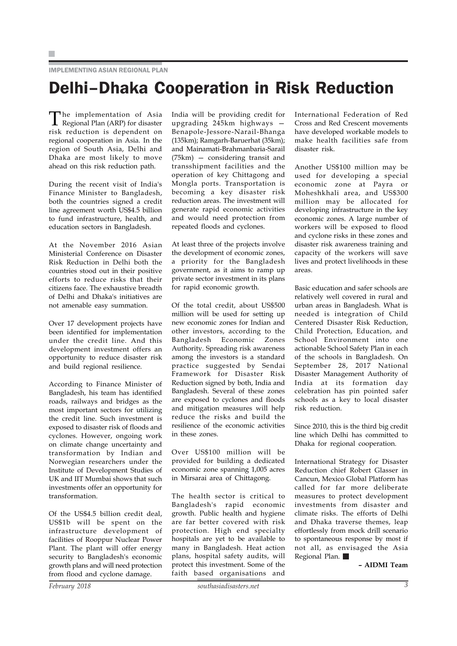### IMPLEMENTING ASIAN REGIONAL PLAN

# Delhi–Dhaka Cooperation in Risk Reduction

The implementation of Asia Regional Plan (ARP) for disaster risk reduction is dependent on regional cooperation in Asia. In the region of South Asia, Delhi and Dhaka are most likely to move ahead on this risk reduction path.

During the recent visit of India's Finance Minister to Bangladesh, both the countries signed a credit line agreement worth US\$4.5 billion to fund infrastructure, health, and education sectors in Bangladesh.

At the November 2016 Asian Ministerial Conference on Disaster Risk Reduction in Delhi both the countries stood out in their positive efforts to reduce risks that their citizens face. The exhaustive breadth of Delhi and Dhaka's initiatives are not amenable easy summation.

Over 17 development projects have been identified for implementation under the credit line. And this development investment offers an opportunity to reduce disaster risk and build regional resilience.

According to Finance Minister of Bangladesh, his team has identified roads, railways and bridges as the most important sectors for utilizing the credit line. Such investment is exposed to disaster risk of floods and cyclones. However, ongoing work on climate change uncertainty and transformation by Indian and Norwegian researchers under the Institute of Development Studies of UK and IIT Mumbai shows that such investments offer an opportunity for transformation.

Of the US\$4.5 billion credit deal, US\$1b will be spent on the infrastructure development of facilities of Rooppur Nuclear Power Plant. The plant will offer energy security to Bangladesh's economic growth plans and will need protection from flood and cyclone damage.

India will be providing credit for upgrading 245km highways — Benapole-Jessore-Narail-Bhanga (135km); Ramgarh-Baruerhat (35km); and Mainamati-Brahmanbaria-Sarail (75km) — considering transit and transshipment facilities and the operation of key Chittagong and Mongla ports. Transportation is becoming a key disaster risk reduction areas. The investment will generate rapid economic activities and would need protection from repeated floods and cyclones.

At least three of the projects involve the development of economic zones, a priority for the Bangladesh government, as it aims to ramp up private sector investment in its plans for rapid economic growth.

Of the total credit, about US\$500 million will be used for setting up new economic zones for Indian and other investors, according to the Bangladesh Economic Zones Authority. Spreading risk awareness among the investors is a standard practice suggested by Sendai Framework for Disaster Risk Reduction signed by both, India and Bangladesh. Several of these zones are exposed to cyclones and floods and mitigation measures will help reduce the risks and build the resilience of the economic activities in these zones.

Over US\$100 million will be provided for building a dedicated economic zone spanning 1,005 acres in Mirsarai area of Chittagong.

The health sector is critical to Bangladesh's rapid economic growth. Public health and hygiene are far better covered with risk protection. High end specialty hospitals are yet to be available to many in Bangladesh. Heat action plans, hospital safety audits, will protect this investment. Some of the faith based organisations and

International Federation of Red Cross and Red Crescent movements have developed workable models to make health facilities safe from disaster risk.

Another US\$100 million may be used for developing a special economic zone at Payra or Moheshkhali area, and US\$300 million may be allocated for developing infrastructure in the key economic zones. A large number of workers will be exposed to flood and cyclone risks in these zones and disaster risk awareness training and capacity of the workers will save lives and protect livelihoods in these areas.

Basic education and safer schools are relatively well covered in rural and urban areas in Bangladesh. What is needed is integration of Child Centered Disaster Risk Reduction, Child Protection, Education, and School Environment into one actionable School Safety Plan in each of the schools in Bangladesh. On September 28, 2017 National Disaster Management Authority of India at its formation day celebration has pin pointed safer schools as a key to local disaster risk reduction.

Since 2010, this is the third big credit line which Delhi has committed to Dhaka for regional cooperation.

International Strategy for Disaster Reduction chief Robert Glasser in Cancun, Mexico Global Platform has called for far more deliberate measures to protect development investments from disaster and climate risks. The efforts of Delhi and Dhaka traverse themes, leap effortlessly from mock drill scenario to spontaneous response by most if not all, as envisaged the Asia Regional Plan.

**– AIDMI Team**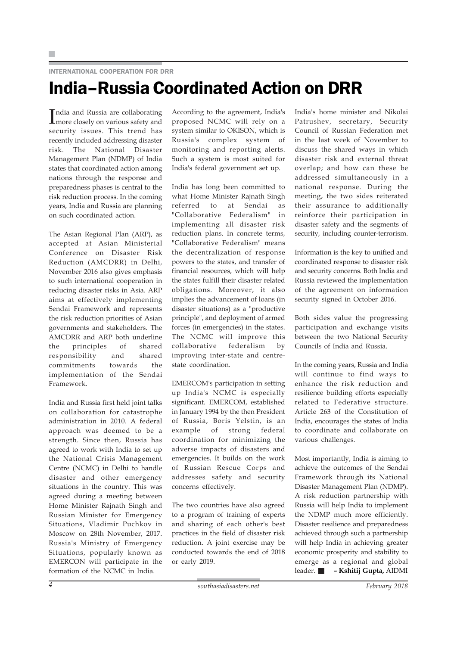### INTERNATIONAL COOPERATION FOR DRR

## India–Russia Coordinated Action on DRR

India and Russia are collaborating<br>
Imore closely on various safety and ndia and Russia are collaborating security issues. This trend has recently included addressing disaster risk. The National Disaster Management Plan (NDMP) of India states that coordinated action among nations through the response and preparedness phases is central to the risk reduction process. In the coming years, India and Russia are planning on such coordinated action.

The Asian Regional Plan (ARP), as accepted at Asian Ministerial Conference on Disaster Risk Reduction (AMCDRR) in Delhi, November 2016 also gives emphasis to such international cooperation in reducing disaster risks in Asia. ARP aims at effectively implementing Sendai Framework and represents the risk reduction priorities of Asian governments and stakeholders. The AMCDRR and ARP both underline the principles of shared responsibility and shared commitments towards the implementation of the Sendai Framework.

India and Russia first held joint talks on collaboration for catastrophe administration in 2010. A federal approach was deemed to be a strength. Since then, Russia has agreed to work with India to set up the National Crisis Management Centre (NCMC) in Delhi to handle disaster and other emergency situations in the country. This was agreed during a meeting between Home Minister Rajnath Singh and Russian Minister for Emergency Situations, Vladimir Puchkov in Moscow on 28th November, 2017. Russia's Ministry of Emergency Situations, popularly known as EMERCON will participate in the formation of the NCMC in India.

According to the agreement, India's proposed NCMC will rely on a system similar to OKISON, which is Russia's complex system of monitoring and reporting alerts. Such a system is most suited for India's federal government set up.

India has long been committed to what Home Minister Rajnath Singh referred to at Sendai as "Collaborative Federalism" in implementing all disaster risk reduction plans. In concrete terms, "Collaborative Federalism" means the decentralization of response powers to the states, and transfer of financial resources, which will help the states fulfill their disaster related obligations. Moreover, it also implies the advancement of loans (in disaster situations) as a "productive principle", and deployment of armed forces (in emergencies) in the states. The NCMC will improve this collaborative federalism by improving inter-state and centrestate coordination.

EMERCOM's participation in setting up India's NCMC is especially significant. EMERCOM, established in January 1994 by the then President of Russia, Boris Yelstin, is an example of strong federal coordination for minimizing the adverse impacts of disasters and emergencies. It builds on the work of Russian Rescue Corps and addresses safety and security concerns effectively.

The two countries have also agreed to a program of training of experts and sharing of each other's best practices in the field of disaster risk reduction. A joint exercise may be conducted towards the end of 2018 or early 2019.

India's home minister and Nikolai Patrushev, secretary, Security Council of Russian Federation met in the last week of November to discuss the shared ways in which disaster risk and external threat overlap; and how can these be addressed simultaneously in a national response. During the meeting, the two sides reiterated their assurance to additionally reinforce their participation in disaster safety and the segments of security, including counter-terrorism.

Information is the key to unified and coordinated response to disaster risk and security concerns. Both India and Russia reviewed the implementation of the agreement on information security signed in October 2016.

Both sides value the progressing participation and exchange visits between the two National Security Councils of India and Russia.

In the coming years, Russia and India will continue to find ways to enhance the risk reduction and resilience building efforts especially related to Federative structure. Article 263 of the Constitution of India, encourages the states of India to coordinate and collaborate on various challenges.

Most importantly, India is aiming to achieve the outcomes of the Sendai Framework through its National Disaster Management Plan (NDMP). A risk reduction partnership with Russia will help India to implement the NDMP much more efficiently. Disaster resilience and preparedness achieved through such a partnership will help India in achieving greater economic prosperity and stability to emerge as a regional and global leader. **– Kshitij Gupta,** AIDMI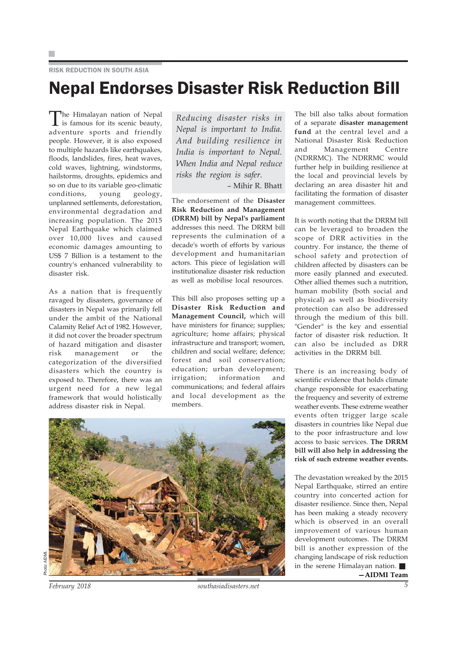### RISK REDUCTION IN SOUTH ASIA

## Nepal Endorses Disaster Risk Reduction Bill

The Himalayan nation of Nepal is famous for its scenic beauty, adventure sports and friendly people. However, it is also exposed to multiple hazards like earthquakes, floods, landslides, fires, heat waves, cold waves, lightning, windstorms, hailstorms, droughts, epidemics and so on due to its variable geo-climatic conditions, young geology, unplanned settlements, deforestation, environmental degradation and increasing population. The 2015 Nepal Earthquake which claimed over 10,000 lives and caused economic damages amounting to US\$ 7 Billion is a testament to the country's enhanced vulnerability to disaster risk.

As a nation that is frequently ravaged by disasters, governance of disasters in Nepal was primarily fell under the ambit of the National Calamity Relief Act of 1982. However, it did not cover the broader spectrum of hazard mitigation and disaster risk management or the categorization of the diversified disasters which the country is exposed to. Therefore, there was an urgent need for a new legal framework that would holistically address disaster risk in Nepal.

*Reducing disaster risks in Nepal is important to India. And building resilience in India is important to Nepal. When India and Nepal reduce risks the region is safer.*

– Mihir R. Bhatt

The endorsement of the **Disaster Risk Reduction and Management (DRRM) bill by Nepal's parliament** addresses this need. The DRRM bill represents the culmination of a decade's worth of efforts by various development and humanitarian actors. This piece of legislation will institutionalize disaster risk reduction as well as mobilise local resources.

This bill also proposes setting up a **Disaster Risk Reduction and Management Council,** which will have ministers for finance; supplies; agriculture; home affairs; physical infrastructure and transport; women, children and social welfare; defence; forest and soil conservation; education; urban development; irrigation; information and communications; and federal affairs and local development as the members.

The bill also talks about formation of a separate **disaster management fund** at the central level and a National Disaster Risk Reduction and Management Centre (NDRRMC). The NDRRMC would further help in building resilience at the local and provincial levels by declaring an area disaster hit and facilitating the formation of disaster management committees.

It is worth noting that the DRRM bill can be leveraged to broaden the scope of DRR activities in the country. For instance, the theme of school safety and protection of children affected by disasters can be more easily planned and executed. Other allied themes such a nutrition, human mobility (both social and physical) as well as biodiversity protection can also be addressed through the medium of this bill. "Gender" is the key and essential factor of disaster risk reduction. It can also be included as DRR activities in the DRRM bill.

There is an increasing body of scientific evidence that holds climate change responsible for exacerbating the frequency and severity of extreme weather events. These extreme weather events often trigger large scale disasters in countries like Nepal due to the poor infrastructure and low access to basic services. **The DRRM bill will also help in addressing the risk of such extreme weather events.**

The devastation wreaked by the 2015 Nepal Earthquake, stirred an entire country into concerted action for disaster resilience. Since then, Nepal has been making a steady recovery which is observed in an overall improvement of various human development outcomes. The DRRM bill is another expression of the changing landscape of risk reduction in the serene Himalayan nation. **—AIDMI Team**

*February 2018 southasiadisasters.net 5*

Photo: AIDMI.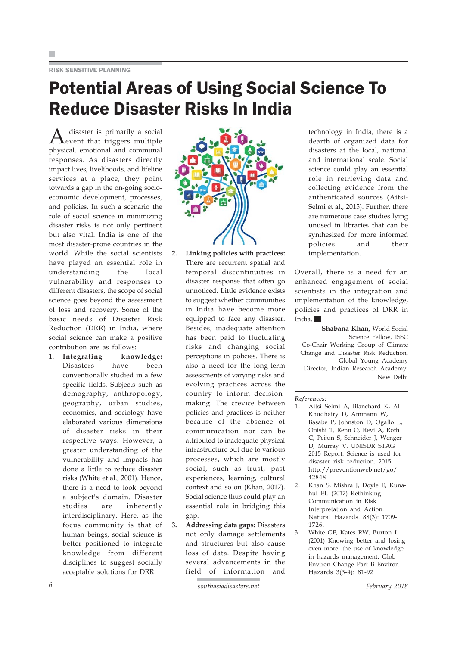### RISK SENSITIVE PLANNING

# Potential Areas of Using Social Science To Reduce Disaster Risks In India

A disaster is primarily a social event that triggers multiple physical, emotional and communal responses. As disasters directly impact lives, livelihoods, and lifeline services at a place, they point towards a gap in the on-going socioeconomic development, processes, and policies. In such a scenario the role of social science in minimizing disaster risks is not only pertinent but also vital. India is one of the most disaster-prone countries in the world. While the social scientists have played an essential role in understanding the local vulnerability and responses to different disasters, the scope of social science goes beyond the assessment of loss and recovery. Some of the basic needs of Disaster Risk Reduction (DRR) in India, where social science can make a positive contribution are as follows:

**1. Integrating knowledge:** Disasters have been conventionally studied in a few specific fields. Subjects such as demography, anthropology, geography, urban studies, economics, and sociology have elaborated various dimensions of disaster risks in their respective ways. However, a greater understanding of the vulnerability and impacts has done a little to reduce disaster risks (White et al., 2001). Hence, there is a need to look beyond a subject's domain. Disaster studies are inherently interdisciplinary. Here, as the focus community is that of human beings, social science is better positioned to integrate knowledge from different disciplines to suggest socially acceptable solutions for DRR.



- **2. Linking policies with practices:** There are recurrent spatial and temporal discontinuities in disaster response that often go unnoticed. Little evidence exists to suggest whether communities in India have become more equipped to face any disaster. Besides, inadequate attention has been paid to fluctuating risks and changing social perceptions in policies. There is also a need for the long-term assessments of varying risks and evolving practices across the country to inform decisionmaking. The crevice between policies and practices is neither because of the absence of communication nor can be attributed to inadequate physical infrastructure but due to various processes, which are mostly social, such as trust, past experiences, learning, cultural context and so on (Khan, 2017). Social science thus could play an essential role in bridging this gap.
- **3. Addressing data gaps:** Disasters not only damage settlements and structures but also cause loss of data. Despite having several advancements in the field of information and

technology in India, there is a dearth of organized data for disasters at the local, national and international scale. Social science could play an essential role in retrieving data and collecting evidence from the authenticated sources (Aitsi-Selmi et al., 2015). Further, there are numerous case studies lying unused in libraries that can be synthesized for more informed policies and their implementation.

Overall, there is a need for an enhanced engagement of social scientists in the integration and implementation of the knowledge, policies and practices of DRR in India.

**– Shabana Khan,** World Social Science Fellow, ISSC Co-Chair Working Group of Climate Change and Disaster Risk Reduction, Global Young Academy Director, Indian Research Academy, New Delhi

### *References:*

- 1. Aitsi–Selmi A, Blanchard K, Al-Khudhairy D, Ammann W, Basabe P, Johnston D, Ogallo L, Onishi T, Renn O, Revi A, Roth C, Peijun S, Schneider J, Wenger D, Murray V. UNISDR STAG 2015 Report: Science is used for disaster risk reduction. 2015. http://preventionweb.net/go/ 42848
- 2. Khan S, Mishra J, Doyle E, Kunahui EL (2017) Rethinking Communication in Risk Interpretation and Action. Natural Hazards. 88(3): 1709- 1726.
- 3. White GF, Kates RW, Burton I (2001) Knowing better and losing even more: the use of knowledge in hazards management. Glob Environ Change Part B Environ Hazards 3(3-4): 81-92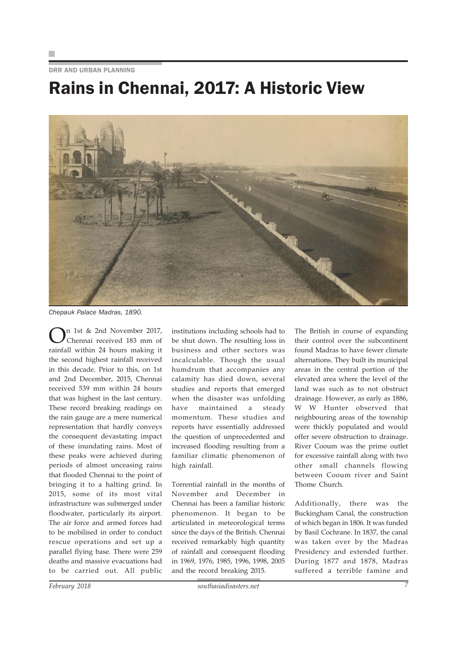DRR AND URBAN PLANNING

# Rains in Chennai, 2017: A Historic View



*Chepauk Palace Madras, 1890.*

n 1st & 2nd November 2017, Chennai received 183 mm of rainfall within 24 hours making it the second highest rainfall received in this decade. Prior to this, on 1st and 2nd December, 2015, Chennai received 539 mm within 24 hours that was highest in the last century. These record breaking readings on the rain gauge are a mere numerical representation that hardly conveys the consequent devastating impact of these inundating rains. Most of these peaks were achieved during periods of almost unceasing rains that flooded Chennai to the point of bringing it to a halting grind. In 2015, some of its most vital infrastructure was submerged under floodwater, particularly its airport. The air force and armed forces had to be mobilised in order to conduct rescue operations and set up a parallel flying base. There were 259 deaths and massive evacuations had to be carried out. All public

calamity has died down, several studies and reports that emerged when the disaster was unfolding have maintained a steady momentum. These studies and reports have essentially addressed the question of unprecedented and increased flooding resulting from a familiar climatic phenomenon of high rainfall. Torrential rainfall in the months of

institutions including schools had to be shut down. The resulting loss in business and other sectors was incalculable. Though the usual humdrum that accompanies any

November and December in Chennai has been a familiar historic phenomenon. It began to be articulated in meteorological terms since the days of the British. Chennai received remarkably high quantity of rainfall and consequent flooding in 1969, 1976, 1985, 1996, 1998, 2005 and the record breaking 2015.

The British in course of expanding their control over the subcontinent found Madras to have fewer climate alternations. They built its municipal areas in the central portion of the elevated area where the level of the land was such as to not obstruct drainage. However, as early as 1886, W W Hunter observed that neighbouring areas of the township were thickly populated and would offer severe obstruction to drainage. River Cooum was the prime outlet for excessive rainfall along with two other small channels flowing between Cooum river and Saint Thome Church.

Additionally, there was the Buckingham Canal, the construction of which began in 1806. It was funded by Basil Cochrane. In 1837, the canal was taken over by the Madras Presidency and extended further. During 1877 and 1878, Madras suffered a terrible famine and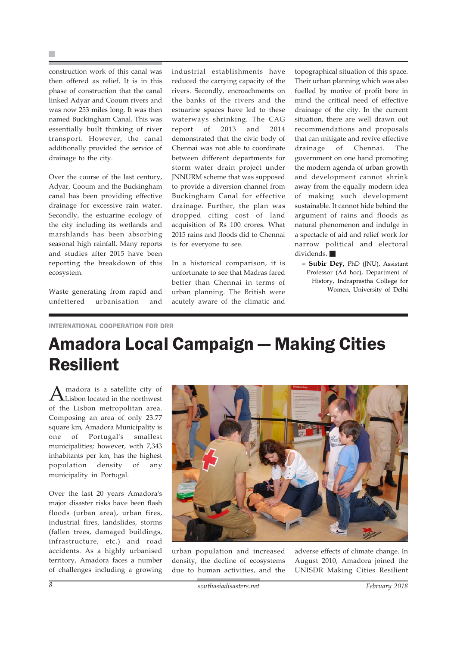construction work of this canal was then offered as relief. It is in this phase of construction that the canal linked Adyar and Cooum rivers and was now 253 miles long. It was then named Buckingham Canal. This was essentially built thinking of river transport. However, the canal additionally provided the service of drainage to the city.

Over the course of the last century, Adyar, Cooum and the Buckingham canal has been providing effective drainage for excessive rain water. Secondly, the estuarine ecology of the city including its wetlands and marshlands has been absorbing seasonal high rainfall. Many reports and studies after 2015 have been reporting the breakdown of this ecosystem.

Waste generating from rapid and unfettered urbanisation and industrial establishments have reduced the carrying capacity of the rivers. Secondly, encroachments on the banks of the rivers and the estuarine spaces have led to these waterways shrinking. The CAG report of 2013 and 2014 demonstrated that the civic body of Chennai was not able to coordinate between different departments for storm water drain project under JNNURM scheme that was supposed to provide a diversion channel from Buckingham Canal for effective drainage. Further, the plan was dropped citing cost of land acquisition of Rs 100 crores. What 2015 rains and floods did to Chennai is for everyone to see.

In a historical comparison, it is unfortunate to see that Madras fared better than Chennai in terms of urban planning. The British were acutely aware of the climatic and

topographical situation of this space. Their urban planning which was also fuelled by motive of profit bore in mind the critical need of effective drainage of the city. In the current situation, there are well drawn out recommendations and proposals that can mitigate and revive effective drainage of Chennai. The government on one hand promoting the modern agenda of urban growth and development cannot shrink away from the equally modern idea of making such development sustainable. It cannot hide behind the argument of rains and floods as natural phenomenon and indulge in a spectacle of aid and relief work for narrow political and electoral dividends.

**– Subir Dey,** PhD (JNU), Assistant Professor (Ad hoc), Department of History, Indraprastha College for Women, University of Delhi

INTERNATIONAL COOPERATION FOR DRR

# Amadora Local Campaign — Making Cities Resilient

 $A$ madora is a satellite city of Lisbon located in the northwest of the Lisbon metropolitan area. Composing an area of only 23.77 square km, Amadora Municipality is one of Portugal's smallest municipalities; however, with 7,343 inhabitants per km, has the highest population density of any municipality in Portugal.

Over the last 20 years Amadora's major disaster risks have been flash floods (urban area), urban fires, industrial fires, landslides, storms (fallen trees, damaged buildings, infrastructure, etc.) and road accidents. As a highly urbanised territory, Amadora faces a number of challenges including a growing



urban population and increased density, the decline of ecosystems due to human activities, and the adverse effects of climate change. In August 2010, Amadora joined the UNISDR Making Cities Resilient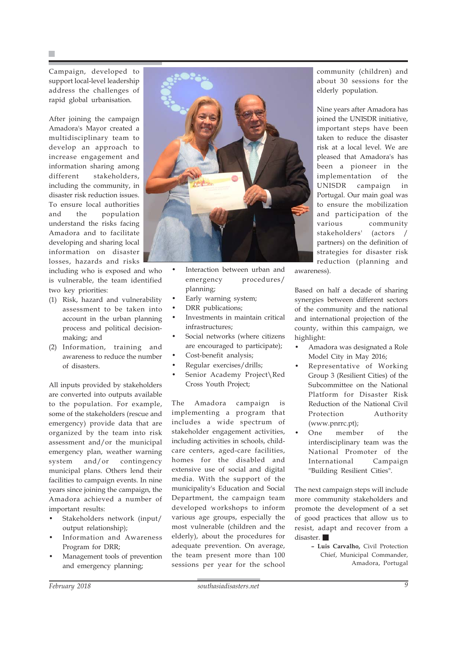Campaign, developed to support local-level leadership address the challenges of rapid global urbanisation.

After joining the campaign Amadora's Mayor created a multidisciplinary team to develop an approach to increase engagement and information sharing among different stakeholders, including the community, in disaster risk reduction issues. To ensure local authorities and the population understand the risks facing Amadora and to facilitate developing and sharing local information on disaster losses, hazards and risks

including who is exposed and who is vulnerable, the team identified two key priorities:

- (1) Risk, hazard and vulnerability assessment to be taken into account in the urban planning process and political decisionmaking; and
- (2) Information, training and awareness to reduce the number of disasters.

All inputs provided by stakeholders are converted into outputs available to the population. For example, some of the stakeholders (rescue and emergency) provide data that are organized by the team into risk assessment and/or the municipal emergency plan, weather warning system and/or contingency municipal plans. Others lend their facilities to campaign events. In nine years since joining the campaign, the Amadora achieved a number of important results:

- Stakeholders network (input/ output relationship);
- Information and Awareness Program for DRR;
- Management tools of prevention and emergency planning;



- Interaction between urban and emergency procedures/ planning;
- Early warning system;
- DRR publications:
- Investments in maintain critical infrastructures;
- Social networks (where citizens are encouraged to participate);
- Cost-benefit analysis;
- Regular exercises/drills;
- Senior Academy Project\Red Cross Youth Project;

The Amadora campaign is implementing a program that includes a wide spectrum of stakeholder engagement activities, including activities in schools, childcare centers, aged-care facilities, homes for the disabled and extensive use of social and digital media. With the support of the municipality's Education and Social Department, the campaign team developed workshops to inform various age groups, especially the most vulnerable (children and the elderly), about the procedures for adequate prevention. On average, the team present more than 100 sessions per year for the school community (children) and about 30 sessions for the elderly population.

Nine years after Amadora has joined the UNISDR initiative, important steps have been taken to reduce the disaster risk at a local level. We are pleased that Amadora's has been a pioneer in the implementation of the UNISDR campaign in Portugal. Our main goal was to ensure the mobilization and participation of the various community stakeholders' (actors / partners) on the definition of strategies for disaster risk reduction (planning and awareness).

Based on half a decade of sharing synergies between different sectors of the community and the national and international projection of the county, within this campaign, we highlight:

- Amadora was designated a Role Model City in May 2016;
- Representative of Working Group 3 (Resilient Cities) of the Subcommittee on the National Platform for Disaster Risk Reduction of the National Civil Protection Authority (www.pnrrc.pt);
- One member of the interdisciplinary team was the National Promoter of the International Campaign "Building Resilient Cities".

The next campaign steps will include more community stakeholders and promote the development of a set of good practices that allow us to resist, adapt and recover from a disaster.

> **– Luis Carvalho,** Civil Protection Chief, Municipal Commander, Amadora, Portugal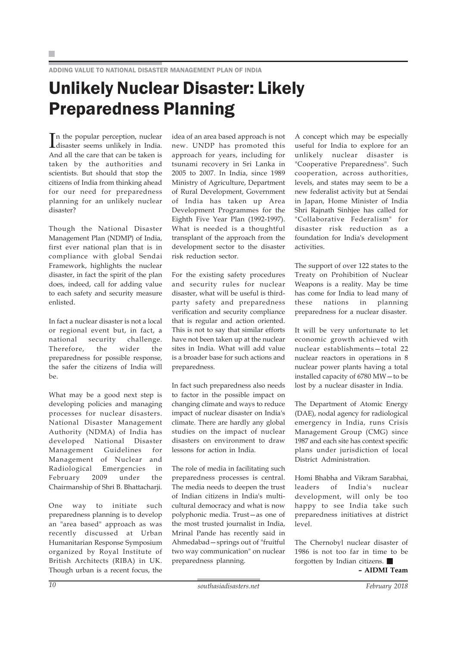ADDING VALUE TO NATIONAL DISASTER MANAGEMENT PLAN OF INDIA

# Unlikely Nuclear Disaster: Likely Preparedness Planning

In the popular perception, nuclear disaster seems unlikely in India. disaster seems unlikely in India. And all the care that can be taken is taken by the authorities and scientists. But should that stop the citizens of India from thinking ahead for our need for preparedness planning for an unlikely nuclear disaster?

Though the National Disaster Management Plan (NDMP) of India, first ever national plan that is in compliance with global Sendai Framework, highlights the nuclear disaster, in fact the spirit of the plan does, indeed, call for adding value to each safety and security measure enlisted.

In fact a nuclear disaster is not a local or regional event but, in fact, a national security challenge. Therefore, the wider the preparedness for possible response, the safer the citizens of India will  $h_{\alpha}$ 

What may be a good next step is developing policies and managing processes for nuclear disasters. National Disaster Management Authority (NDMA) of India has developed National Disaster Management Guidelines for Management of Nuclear and Radiological Emergencies in February 2009 under the Chairmanship of Shri B. Bhattacharji.

One way to initiate such preparedness planning is to develop an "area based" approach as was recently discussed at Urban Humanitarian Response Symposium organized by Royal Institute of British Architects (RIBA) in UK. Though urban is a recent focus, the

idea of an area based approach is not new. UNDP has promoted this approach for years, including for tsunami recovery in Sri Lanka in 2005 to 2007. In India, since 1989 Ministry of Agriculture, Department of Rural Development, Government of India has taken up Area Development Programmes for the Eighth Five Year Plan (1992-1997). What is needed is a thoughtful transplant of the approach from the development sector to the disaster risk reduction sector.

For the existing safety procedures and security rules for nuclear disaster, what will be useful is thirdparty safety and preparedness verification and security compliance that is regular and action oriented. This is not to say that similar efforts have not been taken up at the nuclear sites in India. What will add value is a broader base for such actions and preparedness.

In fact such preparedness also needs to factor in the possible impact on changing climate and ways to reduce impact of nuclear disaster on India's climate. There are hardly any global studies on the impact of nuclear disasters on environment to draw lessons for action in India.

The role of media in facilitating such preparedness processes is central. The media needs to deepen the trust of Indian citizens in India's multicultural democracy and what is now polyphonic media. Trust—as one of the most trusted journalist in India, Mrinal Pande has recently said in Ahmedabad—springs out of "fruitful two way communication" on nuclear preparedness planning.

A concept which may be especially useful for India to explore for an unlikely nuclear disaster is "Cooperative Preparedness". Such cooperation, across authorities, levels, and states may seem to be a new federalist activity but at Sendai in Japan, Home Minister of India Shri Rajnath Sinhjee has called for "Collaborative Federalism" for disaster risk reduction as a foundation for India's development activities.

The support of over 122 states to the Treaty on Prohibition of Nuclear Weapons is a reality. May be time has come for India to lead many of these nations in planning preparedness for a nuclear disaster.

It will be very unfortunate to let economic growth achieved with nuclear establishments—total 22 nuclear reactors in operations in 8 nuclear power plants having a total installed capacity of 6780 MW—to be lost by a nuclear disaster in India.

The Department of Atomic Energy (DAE), nodal agency for radiological emergency in India, runs Crisis Management Group (CMG) since 1987 and each site has context specific plans under jurisdiction of local District Administration.

Homi Bhabha and Vikram Sarabhai, leaders of India's nuclear development, will only be too happy to see India take such preparedness initiatives at district level.

The Chernobyl nuclear disaster of 1986 is not too far in time to be forgotten by Indian citizens.

**– AIDMI Team**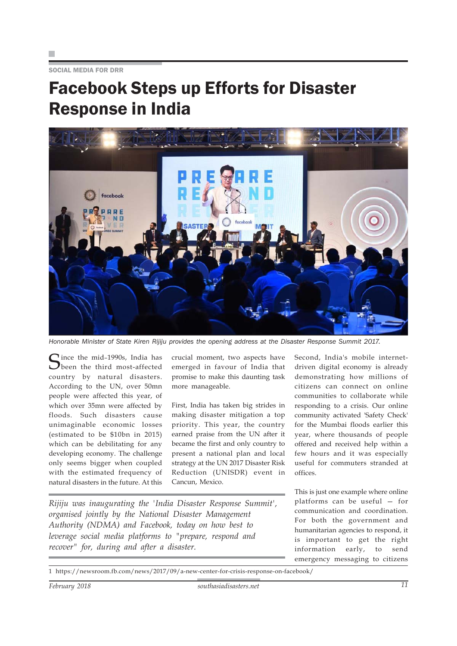SOCIAL MEDIA FOR DRR

# Facebook Steps up Efforts for Disaster Response in India



*Honorable Minister of State Kiren Rijiju provides the opening address at the Disaster Response Summit 2017.*

Cince the mid-1990s, India has **O** been the third most-affected country by natural disasters. According to the UN, over 50mn people were affected this year, of which over 35mn were affected by floods. Such disasters cause unimaginable economic losses (estimated to be \$10bn in 2015) which can be debilitating for any developing economy. The challenge only seems bigger when coupled with the estimated frequency of natural disasters in the future. At this

crucial moment, two aspects have emerged in favour of India that promise to make this daunting task more manageable.

First, India has taken big strides in making disaster mitigation a top priority. This year, the country earned praise from the UN after it became the first and only country to present a national plan and local strategy at the UN 2017 Disaster Risk Reduction (UNISDR) event in Cancun, Mexico.

*Rijiju was inaugurating the 'India Disaster Response Summit', organised jointly by the National Disaster Management Authority (NDMA) and Facebook, today on how best to leverage social media platforms to "prepare, respond and recover" for, during and after a disaster.*

Second, India's mobile internetdriven digital economy is already demonstrating how millions of citizens can connect on online communities to collaborate while responding to a crisis. Our online community activated 'Safety Check' for the Mumbai floods earlier this year, where thousands of people offered and received help within a few hours and it was especially useful for commuters stranded at offices.

This is just one example where online platforms can be useful — for communication and coordination. For both the government and humanitarian agencies to respond, it is important to get the right information early, to send emergency messaging to citizens

1 https://newsroom.fb.com/news/2017/09/a-new-center-for-crisis-response-on-facebook/